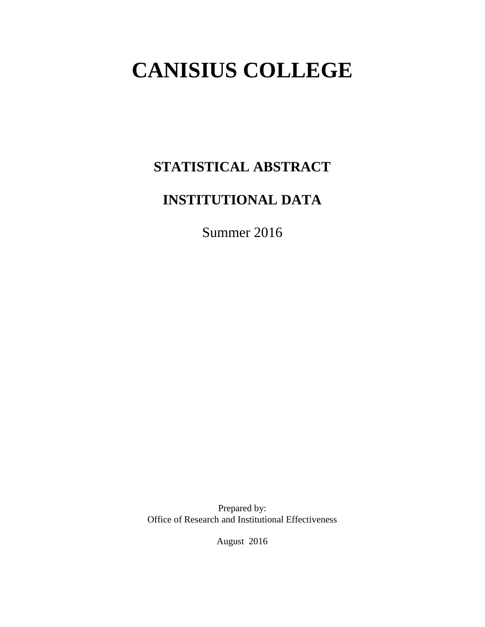# **CANISIUS COLLEGE**

# **STATISTICAL ABSTRACT**

# **INSTITUTIONAL DATA**

Summer 2016

Prepared by: Office of Research and Institutional Effectiveness

August 2016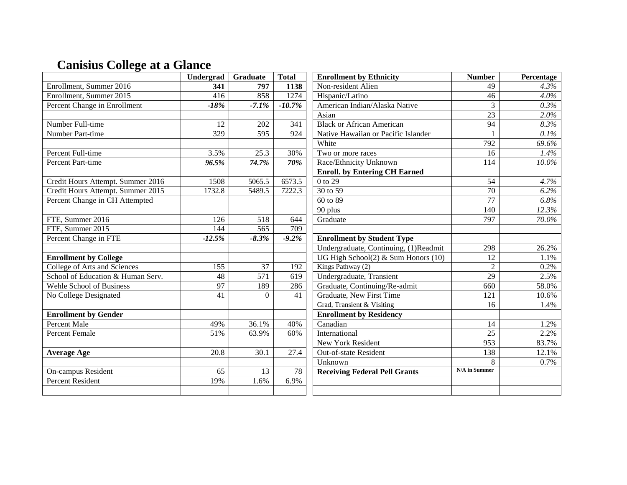# **Canisius College at a Glance**

|                                   | Undergrad | Graduate         | <b>Total</b> | <b>Enrollment by Ethnicity</b>        | <b>Number</b>   | Percentage |
|-----------------------------------|-----------|------------------|--------------|---------------------------------------|-----------------|------------|
| Enrollment, Summer 2016           | 341       | 797              | 1138         | Non-resident Alien                    | 49              | 4.3%       |
| Enrollment, Summer 2015           | 416       | 858              | 1274         | Hispanic/Latino                       | 46              | $4.0\%$    |
| Percent Change in Enrollment      | $-18%$    | $-7.1%$          | $-10.7%$     | American Indian/Alaska Native         | 3               | 0.3%       |
|                                   |           |                  |              | Asian                                 | 23              | 2.0%       |
| Number Full-time                  | 12        | 202              | 341          | <b>Black or African American</b>      | $\overline{94}$ | 8.3%       |
| Number Part-time                  | 329       | 595              | 924          | Native Hawaiian or Pacific Islander   |                 | 0.1%       |
|                                   |           |                  |              | White                                 | 792             | 69.6%      |
| Percent Full-time                 | 3.5%      | 25.3             | 30%          | Two or more races                     | 16              | 1.4%       |
| Percent Part-time                 | 96.5%     | 74.7%            | 70%          | Race/Ethnicity Unknown                | 114             | $10.0\%$   |
|                                   |           |                  |              | <b>Enroll.</b> by Entering CH Earned  |                 |            |
| Credit Hours Attempt. Summer 2016 | 1508      | 5065.5           | 6573.5       | 0 to 29                               | 54              | 4.7%       |
| Credit Hours Attempt. Summer 2015 | 1732.8    | 5489.5           | 7222.3       | 30 to 59                              | 70              | 6.2%       |
| Percent Change in CH Attempted    |           |                  |              | 60 to 89                              | $\overline{77}$ | 6.8%       |
|                                   |           |                  |              | 90 plus                               | 140             | 12.3%      |
| FTE, Summer 2016                  | 126       | 518              | 644          | Graduate                              | 797             | 70.0%      |
| FTE, Summer 2015                  | 144       | $\overline{565}$ | 709          |                                       |                 |            |
| Percent Change in FTE             | $-12.5%$  | $-8.3%$          | $-9.2\%$     | <b>Enrollment by Student Type</b>     |                 |            |
|                                   |           |                  |              | Undergraduate, Continuing, (1)Readmit | 298             | 26.2%      |
| <b>Enrollment by College</b>      |           |                  |              | UG High School(2) & Sum Honors (10)   | 12              | 1.1%       |
| College of Arts and Sciences      | 155       | 37               | 192          | Kings Pathway (2)                     | $\overline{2}$  | 0.2%       |
| School of Education & Human Serv. | 48        | $\overline{571}$ | 619          | Undergraduate, Transient              | $\overline{29}$ | 2.5%       |
| Wehle School of Business          | 97        | 189              | 286          | Graduate, Continuing/Re-admit         | 660             | 58.0%      |
| No College Designated             | 41        | $\Omega$         | 41           | Graduate, New First Time              | 121             | 10.6%      |
|                                   |           |                  |              | Grad, Transient & Visiting            | 16              | 1.4%       |
| <b>Enrollment by Gender</b>       |           |                  |              | <b>Enrollment by Residency</b>        |                 |            |
| <b>Percent Male</b>               | 49%       | 36.1%            | 40%          | Canadian                              | 14              | 1.2%       |
| <b>Percent Female</b>             | 51%       | 63.9%            | 60%          | International                         | 25              | 2.2%       |
|                                   |           |                  |              | New York Resident                     | 953             | 83.7%      |
| <b>Average Age</b>                | 20.8      | 30.1             | 27.4         | Out-of-state Resident                 | 138             | 12.1%      |
|                                   |           |                  |              | Unknown                               | 8               | 0.7%       |
| On-campus Resident                | 65        | 13               | 78           | <b>Receiving Federal Pell Grants</b>  | N/A in Summer   |            |
| <b>Percent Resident</b>           | 19%       | 1.6%             | 6.9%         |                                       |                 |            |
|                                   |           |                  |              |                                       |                 |            |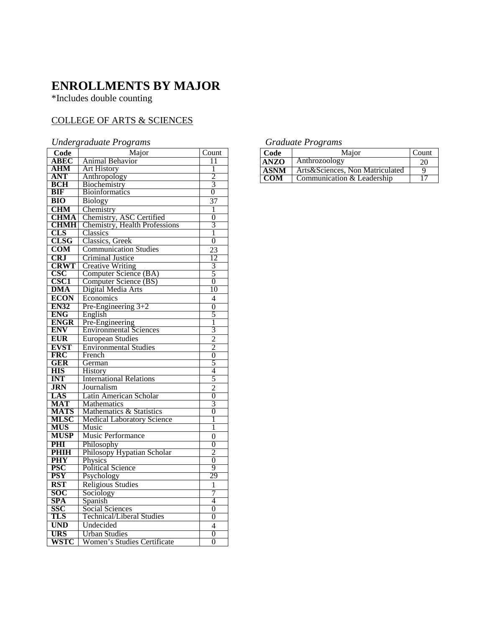### **ENROLLMENTS BY MAJOR**

\*Includes double counting

#### COLLEGE OF ARTS & SCIENCES

#### *Undergraduate Programs*

|                  | $\mathcal{L}$ . $\mathcal{L}$ . $\mathcal{L}$ . $\mathcal{L}$ . $\mathcal{L}$ . $\mathcal{L}$ . $\mathcal{L}$ . $\mathcal{L}$ . $\mathcal{L}$ . $\mathcal{L}$ . $\mathcal{L}$ . $\mathcal{L}$ . $\mathcal{L}$ . $\mathcal{L}$ . $\mathcal{L}$ . $\mathcal{L}$ . $\mathcal{L}$ . $\mathcal{L}$ . $\mathcal{L}$ . $\mathcal{L}$ . $\mathcal{L}$ . $\mathcal{L}$ . |                |
|------------------|-----------------------------------------------------------------------------------------------------------------------------------------------------------------------------------------------------------------------------------------------------------------------------------------------------------------------------------------------------------------|----------------|
| Code             | Major                                                                                                                                                                                                                                                                                                                                                           | Count          |
| ABEC             | <b>Animal Behavior</b>                                                                                                                                                                                                                                                                                                                                          | 11             |
| <b>AHM</b>       | <b>Art History</b>                                                                                                                                                                                                                                                                                                                                              | 1              |
| <b>ANT</b>       | Anthropology                                                                                                                                                                                                                                                                                                                                                    | $\overline{2}$ |
| <b>BCH</b>       | Biochemistry                                                                                                                                                                                                                                                                                                                                                    | $\overline{3}$ |
| BIF              | <b>Bioinformatics</b>                                                                                                                                                                                                                                                                                                                                           | 0              |
| $\overline{BIO}$ | Biology                                                                                                                                                                                                                                                                                                                                                         | 37             |
| <b>CHM</b>       | Chemistry                                                                                                                                                                                                                                                                                                                                                       | 1              |
| <b>CHMA</b>      | Chemistry, ASC Certified                                                                                                                                                                                                                                                                                                                                        | $\overline{0}$ |
| <b>CHMH</b>      | <b>Chemistry, Health Professions</b>                                                                                                                                                                                                                                                                                                                            | $\overline{3}$ |
| CLS              | Classics                                                                                                                                                                                                                                                                                                                                                        | 1              |
| <b>CLSG</b>      | Classics, Greek                                                                                                                                                                                                                                                                                                                                                 | $\overline{0}$ |
| <b>COM</b>       | <b>Communication Studies</b>                                                                                                                                                                                                                                                                                                                                    | 23             |
| <b>CRJ</b>       | <b>Criminal Justice</b>                                                                                                                                                                                                                                                                                                                                         | 12             |
| <b>CRWT</b>      | <b>Creative Writing</b>                                                                                                                                                                                                                                                                                                                                         | 3              |
| <b>CSC</b>       | Computer Science (BA)                                                                                                                                                                                                                                                                                                                                           | $\overline{5}$ |
| <b>CSC1</b>      | Computer Science (BS)                                                                                                                                                                                                                                                                                                                                           | $\overline{0}$ |
| <b>DMA</b>       | Digital Media Arts                                                                                                                                                                                                                                                                                                                                              | 10             |
| <b>ECON</b>      | Economics                                                                                                                                                                                                                                                                                                                                                       | 4              |
| <b>EN32</b>      | Pre-Engineering 3+2                                                                                                                                                                                                                                                                                                                                             | 0              |
| <b>ENG</b>       | English                                                                                                                                                                                                                                                                                                                                                         | 5              |
| <b>ENGR</b>      | Pre-Engineering                                                                                                                                                                                                                                                                                                                                                 | 1              |
| <b>ENV</b>       | <b>Environmental Sciences</b>                                                                                                                                                                                                                                                                                                                                   | $\overline{3}$ |
| <b>EUR</b>       | <b>European Studies</b>                                                                                                                                                                                                                                                                                                                                         | $\frac{2}{2}$  |
| <b>EVST</b>      | <b>Environmental Studies</b>                                                                                                                                                                                                                                                                                                                                    |                |
| <b>FRC</b>       | French                                                                                                                                                                                                                                                                                                                                                          | $\overline{0}$ |
| GER              | German                                                                                                                                                                                                                                                                                                                                                          | 5              |
| <b>HIS</b>       | <b>History</b>                                                                                                                                                                                                                                                                                                                                                  | 4              |
| <b>INT</b>       | <b>International Relations</b>                                                                                                                                                                                                                                                                                                                                  | 5              |
| <b>JRN</b>       | Journalism                                                                                                                                                                                                                                                                                                                                                      | $\overline{c}$ |
| LAS              | Latin American Scholar                                                                                                                                                                                                                                                                                                                                          | $\overline{0}$ |
| <b>MAT</b>       | <b>Mathematics</b>                                                                                                                                                                                                                                                                                                                                              | 3              |
| <b>MATS</b>      | Mathematics & Statistics                                                                                                                                                                                                                                                                                                                                        | $\overline{0}$ |
| <b>MLSC</b>      | <b>Medical Laboratory Science</b>                                                                                                                                                                                                                                                                                                                               | 1              |
| <b>MUS</b>       | Music                                                                                                                                                                                                                                                                                                                                                           | 1              |
| <b>MUSP</b>      | Music Performance                                                                                                                                                                                                                                                                                                                                               | $\overline{0}$ |
| PHI              | Philosophy                                                                                                                                                                                                                                                                                                                                                      | $\overline{0}$ |
| <b>PHIH</b>      | Philosopy Hypatian Scholar                                                                                                                                                                                                                                                                                                                                      | 2              |
| <b>PHY</b>       | Physics                                                                                                                                                                                                                                                                                                                                                         | $\overline{0}$ |
| <b>PSC</b>       | <b>Political Science</b>                                                                                                                                                                                                                                                                                                                                        | 9              |
| <b>PSY</b>       | Psychology                                                                                                                                                                                                                                                                                                                                                      | 29             |
| <b>RST</b>       | <b>Religious Studies</b>                                                                                                                                                                                                                                                                                                                                        | 1              |
| <b>SOC</b>       | Sociology                                                                                                                                                                                                                                                                                                                                                       | 7              |
| <b>SPA</b>       | Spanish                                                                                                                                                                                                                                                                                                                                                         | 4              |
| SSC              | Social Sciences                                                                                                                                                                                                                                                                                                                                                 | $\overline{0}$ |
| TLS              | Technical/Liberal Studies                                                                                                                                                                                                                                                                                                                                       | 0              |
| <b>UND</b>       | Undecided                                                                                                                                                                                                                                                                                                                                                       | 4              |
| <b>URS</b>       | <b>Urban Studies</b>                                                                                                                                                                                                                                                                                                                                            | $\overline{0}$ |
| WSTC             | Women's Studies Certificate                                                                                                                                                                                                                                                                                                                                     | 0              |

#### *Graduate Programs*

| Code        | Maior                             | Count |
|-------------|-----------------------------------|-------|
| <b>ANZO</b> | <b>Anthrozoology</b>              | 20    |
| <b>ASNM</b> | Arts & Sciences, Non Matriculated |       |
| COM         | Communication & Leadership        |       |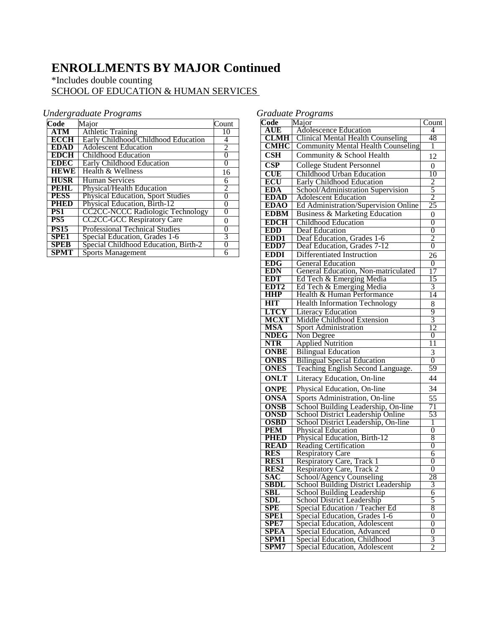# **ENROLLMENTS BY MAJOR Continued**

#### \*Includes double counting SCHOOL OF EDUCATION & HUMAN SERVICES

#### *Undergraduate Programs*

| Code            | Major                                    | Count          |
|-----------------|------------------------------------------|----------------|
| <b>ATM</b>      | <b>Athletic Training</b>                 | 10             |
| <b>ECCH</b>     | Early Childhood/Childhood Education      | 4              |
| <b>EDAD</b>     | <b>Adolescent Education</b>              | $\overline{2}$ |
| <b>EDCH</b>     | Childhood Education                      | 0              |
| <b>EDEC</b>     | Early Childhood Education                | $\Omega$       |
| <b>HEWE</b>     | Health & Wellness                        | 16             |
| <b>HUSR</b>     | <b>Human Services</b>                    | 6              |
| PEHL            | <b>Physical/Health Education</b>         | $\overline{2}$ |
| <b>PESS</b>     | <b>Physical Education, Sport Studies</b> | $\theta$       |
| 1211ED          | <b>Physical Education, Birth-12</b>      | $\theta$       |
| PS <sub>1</sub> | <b>CC2CC-NCCC Radiologic Technology</b>  | 0              |
| PS5             | <b>CC2CC-GCC Respiratory Care</b>        | 0              |
| <b>PS15</b>     | <b>Professional Technical Studies</b>    | 0              |
| SPE1            | Special Education, Grades 1-6            | 3              |
| <b>SPEB</b>     | Special Childhood Education, Birth-2     | $\theta$       |
| SPMT            | <b>Sports Management</b>                 | 6              |

| Code                            | Major                                                  | Count                            |
|---------------------------------|--------------------------------------------------------|----------------------------------|
| <b>AUE</b>                      | <b>Adolescence Education</b>                           | 4                                |
| <b>CLMH</b>                     | <b>Clinical Mental Health Counseling</b>               | 48                               |
| <b>CMHC</b>                     | <b>Community Mental Health Counseling</b>              | 1                                |
| $\bf CSH$                       | Community & School Health                              | 12                               |
| $\overline{\text{CSP}}$         | <b>College Student Personnel</b>                       | 0                                |
| CUE                             | Childhood Urban Education                              | 10                               |
| ECU                             | <b>Early Childhood Education</b>                       |                                  |
| <b>EDA</b>                      | School/Administration Supervision                      | $rac{2}{5}$                      |
| <b>EDAD</b>                     | <b>Adolescent Education</b>                            | 2                                |
| <b>EDAO</b>                     | Ed Administration/Supervision Online                   | 25                               |
| <b>EDBM</b>                     | <b>Business &amp; Marketing Education</b>              | $\overline{0}$                   |
| <b>EDCH</b>                     | <b>Childhood Education</b>                             | $\overline{0}$                   |
| <b>EDD</b>                      | Deaf Education                                         | $\overline{0}$                   |
| EDD1                            | Deaf Education, Grades 1-6                             | $\overline{2}$                   |
| EDD7                            | Deaf Education, Grades 7-12                            | $\overline{0}$                   |
| <b>EDDI</b>                     | Differentiated Instruction                             | 26                               |
| <b>EDG</b>                      | <b>General Education</b>                               | 0                                |
| EDN                             | General Education, Non-matriculated                    | 17                               |
| <b>EDT</b>                      | Ed Tech & Emerging Media                               | 15                               |
| EDT <sub>2</sub>                | Ed Tech & Emerging Media                               | 3                                |
| <b>HHP</b>                      | Health & Human Performance                             | 14                               |
| <b>HIT</b>                      | <b>Health Information Technology</b>                   | 8                                |
| <b>LTCY</b>                     | Literacy Education                                     | 9                                |
| <b>MCXT</b>                     | Middle Childhood Extension                             | $\overline{3}$                   |
| <b>MSA</b>                      | Sport Administration                                   | 12                               |
| <b>NDEG</b>                     | Non Degree                                             | $\overline{0}$                   |
| <b>NTR</b>                      | <b>Applied Nutrition</b>                               | 11                               |
| <b>ONBE</b>                     | <b>Bilingual Education</b>                             | 3                                |
| <b>ONBS</b>                     | <b>Bilingual Special Education</b>                     | $\overline{0}$                   |
| <b>ONES</b>                     | Teaching English Second Language.                      | 59                               |
| <b>ONLT</b>                     | Literacy Education, On-line                            | 44                               |
| <b>ONPE</b>                     | Physical Education, On-line                            | 34                               |
| <b>ONSA</b>                     | Sports Administration, On-line                         | 55                               |
| <b>ONSB</b>                     | School Building Leadership, On-line                    | 71                               |
| <b>ONSD</b>                     | School District Leadership Online                      | 53                               |
| <b>OSBD</b>                     | School District Leadership, On-line                    | 1                                |
| <b>PEM</b>                      | <b>Physical Education</b>                              | 0                                |
| <b>PHED</b>                     | Physical Education, Birth-12                           | 8                                |
| <b>READ</b>                     | <b>Reading Certification</b>                           | $\overline{0}$                   |
| <b>RES</b>                      | <b>Respiratory Care</b>                                | 6                                |
| <b>RES1</b><br>RES <sub>2</sub> | Respiratory Care, Track 1<br>Respiratory Care, Track 2 | $\overline{0}$<br>$\overline{0}$ |
| <b>SAC</b>                      | School/Agency Counseling                               | 28                               |
| <b>SBDL</b>                     | <b>School Building District Leadership</b>             | 3                                |
| $\overline{\text{SBL}}$         | School Building Leadership                             | 6                                |
| SDL                             | School District Leadership                             | 5                                |
| <b>SPE</b>                      | Special Education / Teacher Ed                         | 8                                |
| <b>SPE1</b>                     | Special Education, Grades 1-6                          | $\overline{0}$                   |
| SPE7                            | Special Education, Adolescent                          | $\overline{0}$                   |
| <b>SPEA</b>                     | Special Education, Advanced                            | 0                                |
| SPM1                            | Special Education, Childhood                           | 3                                |
| SPM7                            | Special Education, Adolescent                          | 2                                |

#### *Graduate Programs*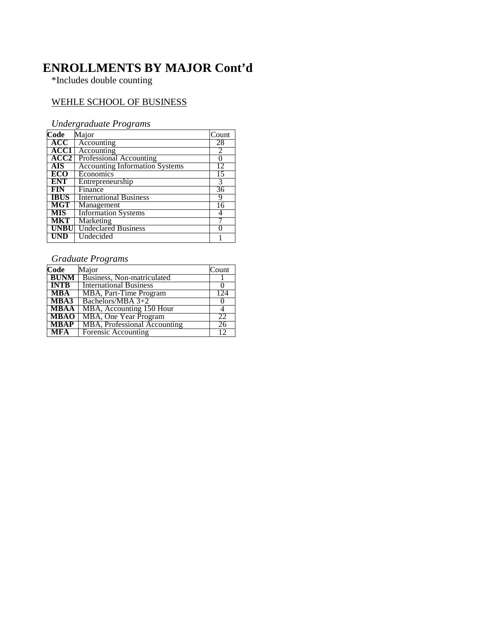# **ENROLLMENTS BY MAJOR Cont'd**

\*Includes double counting

#### WEHLE SCHOOL OF BUSINESS

#### *Undergraduate Programs*

| Code        | Major                                 | Count |
|-------------|---------------------------------------|-------|
| ACC         | Accounting                            | 28    |
| ACC1        | Accounting                            | 2     |
| ACC2        | Professional Accounting               |       |
| <b>AIS</b>  | <b>Accounting Information Systems</b> | 12    |
| <b>ECO</b>  | Economics                             | 15    |
| <b>ENT</b>  | Entrepreneurship                      | 3     |
| <b>FIN</b>  | Finance                               | 36    |
| <b>IBUS</b> | <b>International Business</b>         | q     |
| MGT         | Management                            | 16    |
| <b>MIS</b>  | <b>Information Systems</b>            |       |
| <b>MKT</b>  | Marketing                             |       |
| <b>UNBU</b> | <b>Undeclared Business</b>            |       |
|             | Undecided                             |       |

#### *Graduate Programs*

| Code        | Major                         | Count           |
|-------------|-------------------------------|-----------------|
| <b>BUNM</b> | Business, Non-matriculated    |                 |
| <b>INTB</b> | <b>International Business</b> |                 |
| <b>MBA</b>  | MBA, Part-Time Program        | 124             |
| MBA3        | Bachelors/MBA $3+2$           |                 |
| <b>MBAA</b> | MBA, Accounting 150 Hour      |                 |
| <b>MBAO</b> | MBA, One Year Program         | 22              |
| <b>MBAP</b> | MBA, Professional Accounting  | $\overline{26}$ |
| <b>MFA</b>  | Forensic Accounting           | 12              |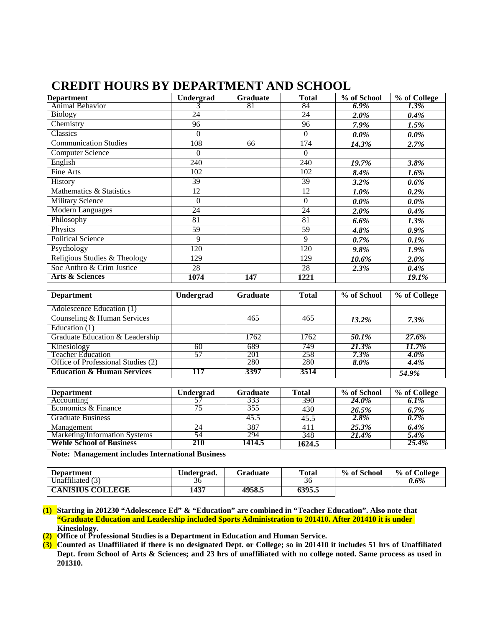# **CREDIT HOURS BY DEPARTMENT AND SCHOOL**

| <b>Department</b>            | Undergrad            | <b>Graduate</b>                                              | <b>Total</b>     | % of School                                               | % of College        |
|------------------------------|----------------------|--------------------------------------------------------------|------------------|-----------------------------------------------------------|---------------------|
| Animal Behavior              |                      | 81                                                           | 84               | $6.9\%$                                                   | 1.3%                |
| <b>Biology</b>               | 24                   |                                                              | 24               | $2.0\%$                                                   | $0.4\%$             |
| Chemistry                    | 96                   |                                                              | 96               | 7.9%                                                      | 1.5%                |
| Classics                     | $\Omega$             |                                                              | $\theta$         | $0.0\%$                                                   | $0.0\%$             |
| Communication Studies        | 108                  | 66                                                           | 174              | 14.3%                                                     | 2.7%                |
| <b>Computer Science</b>      | $\theta$             |                                                              | $\Omega$         |                                                           |                     |
| English                      | 240                  |                                                              | 240              | 19.7%                                                     | 3.8%                |
| Fine Arts                    | 102                  |                                                              | 102              | 8.4%                                                      | 1.6%                |
| History                      | 39                   |                                                              | 39               | $3.2\%$                                                   | $0.6\%$             |
| Mathematics & Statistics     | 12                   |                                                              | 12               | $1.0\%$                                                   | $0.2\%$             |
| <b>Military Science</b>      | $\theta$             |                                                              | $\theta$         | $0.0\%$                                                   | $0.0\%$             |
| <b>Modern Languages</b>      | 24                   |                                                              | 24               | 2.0%                                                      | 0.4%                |
| Philosophy                   | 81                   |                                                              | 81               | $6.6\%$                                                   | 1.3%                |
| Physics                      | 59                   |                                                              | 59               | 4.8%                                                      | $0.9\%$             |
| <b>Political Science</b>     | 9                    |                                                              | 9                | $0.7\%$                                                   | 0.1%                |
| Psychology                   | 120                  |                                                              | 120              | 9.8%                                                      | 1.9%                |
| Religious Studies & Theology | 129                  |                                                              | 129              | 10.6%                                                     | 2.0%                |
| Soc Anthro & Crim Justice    | 28                   |                                                              | 28               | 2.3%                                                      | 0.4%                |
| <b>Arts &amp; Sciences</b>   | 1074                 | 147                                                          | 1221             |                                                           | 19.1%               |
| Donomtmont                   | <b>I</b> Indonesia d | $C$ <sub>no</sub> $\frac{1}{2}$ <sub>120</sub> $\frac{1}{2}$ | $T_{\alpha}$ ial | $0/$ of $\mathcal{C}_{\alpha}$ and $\mathcal{C}_{\alpha}$ | $0/$ of $C_2$ llogo |

| <b>Department</b>                     | Undergrad | <b>Graduate</b> | <b>Total</b> | % of School | % of College |
|---------------------------------------|-----------|-----------------|--------------|-------------|--------------|
| Adolescence Education (1)             |           |                 |              |             |              |
| Counseling & Human Services           |           | 465             | 465          | $13.2\%$    | $7.3\%$      |
| Education $(1)$                       |           |                 |              |             |              |
| Graduate Education & Leadership       |           | 1762            | 1762         | 50.1%       | 27.6%        |
| Kinesiology                           | 60        | 689             | 749          | 21.3%       | 11.7%        |
| <b>Teacher Education</b>              | 57        | 201             | 258          | $7.3\%$     | 4.0%         |
| Office of Professional Studies (2)    |           | 280             | 280          | 8.0%        | $4.4\%$      |
| <b>Education &amp; Human Services</b> | 117       | 3397            | 3514         |             | 54.9%        |

| <b>Department</b>               | U <b>ndergrad</b> | <b>Graduate</b> | Total  | % of School | % of College |
|---------------------------------|-------------------|-----------------|--------|-------------|--------------|
| Accounting                      |                   |                 | 390    | 24.0%       | 6.1%         |
| Economics & Finance             | 75                | 355             | 430    | 26.5%       | 6.7%         |
| <b>Graduate Business</b>        |                   | 45.5            | 45.5   | 2.8%        | $0.7\%$      |
| Management                      | 24                | 387             |        | 25.3%       | 6.4%         |
| Marketing/Information Systems   | 54                | 294             | 348    | 21.4%       | 5.4%         |
| <b>Wehle School of Business</b> | 210               | 1414.5          | 1624.5 |             | 25.4%        |

**Note: Management includes International Business**

| <b>Department</b>       | ∪ndergrad. | Graduate | <b>Total</b> | % of School | % of College |
|-------------------------|------------|----------|--------------|-------------|--------------|
| Jnaffiliated            | 36         |          | 30           |             | 0.6%         |
| <b>CANISIUS COLLEGE</b> | 1437       | 4958.5   | 6395.5       |             |              |

- **(1) Starting in 201230 "Adolescence Ed" & "Education" are combined in "Teacher Education". Also note that "Graduate Education and Leadership included Sports Administration to 201410. After 201410 it is under Kinesiology.**
- **(2) Office of Professional Studies is a Department in Education and Human Service.**
- **(3) Counted as Unaffiliated if there is no designated Dept. or College; so in 201410 it includes 51 hrs of Unaffiliated Dept. from School of Arts & Sciences; and 23 hrs of unaffiliated with no college noted. Same process as used in 201310.**